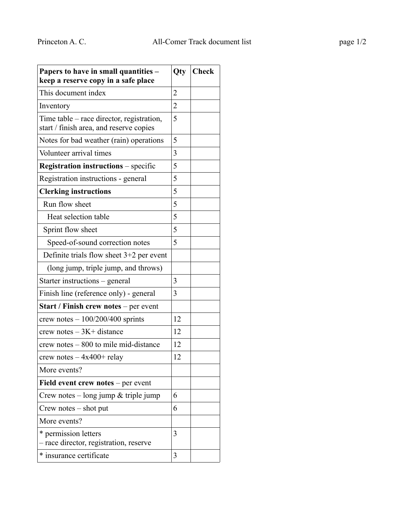| Papers to have in small quantities -<br>keep a reserve copy in a safe place          | Qty            | <b>Check</b> |
|--------------------------------------------------------------------------------------|----------------|--------------|
| This document index                                                                  | $\overline{2}$ |              |
| Inventory                                                                            | $\overline{2}$ |              |
| Time table – race director, registration,<br>start / finish area, and reserve copies | 5              |              |
| Notes for bad weather (rain) operations                                              | 5              |              |
| Volunteer arrival times                                                              | 3              |              |
| <b>Registration instructions</b> – specific                                          | 5              |              |
| Registration instructions - general                                                  | 5              |              |
| <b>Clerking instructions</b>                                                         | 5              |              |
| Run flow sheet                                                                       | 5              |              |
| Heat selection table                                                                 | 5              |              |
| Sprint flow sheet                                                                    | 5              |              |
| Speed-of-sound correction notes                                                      | 5              |              |
| Definite trials flow sheet 3+2 per event                                             |                |              |
| (long jump, triple jump, and throws)                                                 |                |              |
| Starter instructions – general                                                       | 3              |              |
| Finish line (reference only) - general                                               | 3              |              |
| <b>Start / Finish crew notes – per event</b>                                         |                |              |
| crew notes $-100/200/400$ sprints                                                    | 12             |              |
| crew notes $-3K$ + distance                                                          | 12             |              |
| crew notes – 800 to mile mid-distance                                                | 12             |              |
| crew notes $-4x400+$ relay                                                           | 12             |              |
| More events?                                                                         |                |              |
| Field event crew notes $-$ per event                                                 |                |              |
| Crew notes $-$ long jump & triple jump                                               | 6              |              |
| $Crew$ notes $-$ shot put                                                            | 6              |              |
| More events?                                                                         |                |              |
| * permission letters<br>- race director, registration, reserve                       | 3              |              |
| * insurance certificate                                                              | 3              |              |